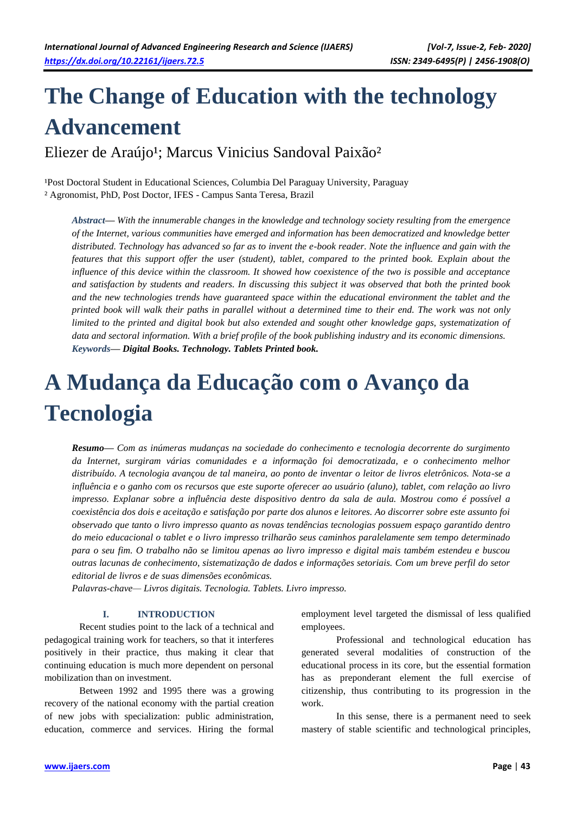# **The Change of Education with the technology Advancement**

Eliezer de Araújo<sup>1</sup>; Marcus Vinicius Sandoval Paixão<sup>2</sup>

<sup>1</sup>Post Doctoral Student in Educational Sciences, Columbia Del Paraguay University, Paraguay ² Agronomist, PhD, Post Doctor, IFES - Campus Santa Teresa, Brazil

*Abstract— With the innumerable changes in the knowledge and technology society resulting from the emergence of the Internet, various communities have emerged and information has been democratized and knowledge better distributed. Technology has advanced so far as to invent the e-book reader. Note the influence and gain with the features that this support offer the user (student), tablet, compared to the printed book. Explain about the influence of this device within the classroom. It showed how coexistence of the two is possible and acceptance and satisfaction by students and readers. In discussing this subject it was observed that both the printed book and the new technologies trends have guaranteed space within the educational environment the tablet and the printed book will walk their paths in parallel without a determined time to their end. The work was not only limited to the printed and digital book but also extended and sought other knowledge gaps, systematization of data and sectoral information. With a brief profile of the book publishing industry and its economic dimensions. Keywords— Digital Books. Technology. Tablets Printed book.*

## **A Mudança da Educação com o Avanço da Tecnologia**

*Resumo— Com as inúmeras mudanças na sociedade do conhecimento e tecnologia decorrente do surgimento da Internet, surgiram várias comunidades e a informação foi democratizada, e o conhecimento melhor distribuído. A tecnologia avançou de tal maneira, ao ponto de inventar o leitor de livros eletrônicos. Nota-se a influência e o ganho com os recursos que este suporte oferecer ao usuário (aluno), tablet, com relação ao livro impresso. Explanar sobre a influência deste dispositivo dentro da sala de aula. Mostrou como é possível a coexistência dos dois e aceitação e satisfação por parte dos alunos e leitores. Ao discorrer sobre este assunto foi observado que tanto o livro impresso quanto as novas tendências tecnologias possuem espaço garantido dentro do meio educacional o tablet e o livro impresso trilharão seus caminhos paralelamente sem tempo determinado para o seu fim. O trabalho não se limitou apenas ao livro impresso e digital mais também estendeu e buscou outras lacunas de conhecimento, sistematização de dados e informações setoriais. Com um breve perfil do setor editorial de livros e de suas dimensões econômicas.* 

*Palavras-chave— Livros digitais. Tecnologia. Tablets. Livro impresso.*

#### **I. INTRODUCTION**

Recent studies point to the lack of a technical and pedagogical training work for teachers, so that it interferes positively in their practice, thus making it clear that continuing education is much more dependent on personal mobilization than on investment.

Between 1992 and 1995 there was a growing recovery of the national economy with the partial creation of new jobs with specialization: public administration, education, commerce and services. Hiring the formal employment level targeted the dismissal of less qualified employees.

Professional and technological education has generated several modalities of construction of the educational process in its core, but the essential formation has as preponderant element the full exercise of citizenship, thus contributing to its progression in the work.

In this sense, there is a permanent need to seek mastery of stable scientific and technological principles,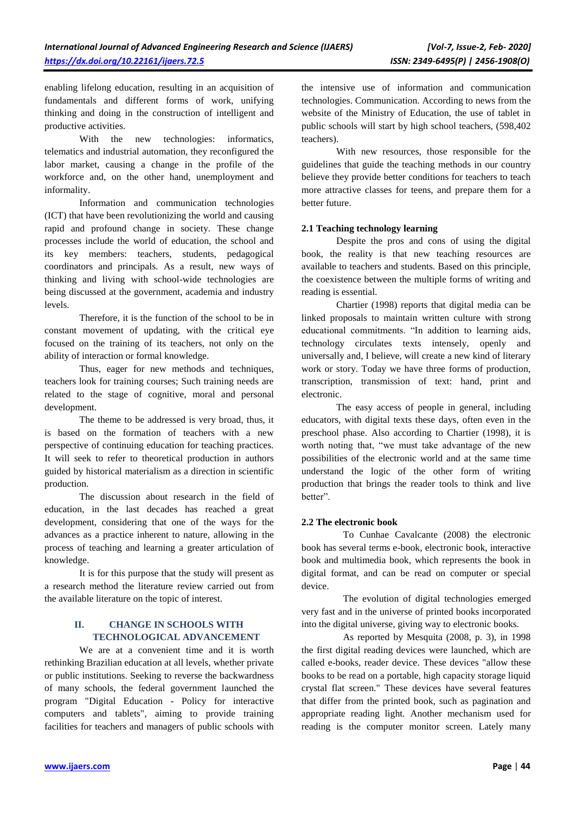enabling lifelong education, resulting in an acquisition of fundamentals and different forms of work, unifying thinking and doing in the construction of intelligent and productive activities.

With the new technologies: informatics, telematics and industrial automation, they reconfigured the labor market, causing a change in the profile of the workforce and, on the other hand, unemployment and informality.

Information and communication technologies (ICT) that have been revolutionizing the world and causing rapid and profound change in society. These change processes include the world of education, the school and its key members: teachers, students, pedagogical coordinators and principals. As a result, new ways of thinking and living with school-wide technologies are being discussed at the government, academia and industry levels.

Therefore, it is the function of the school to be in constant movement of updating, with the critical eye focused on the training of its teachers, not only on the ability of interaction or formal knowledge.

Thus, eager for new methods and techniques, teachers look for training courses; Such training needs are related to the stage of cognitive, moral and personal development.

The theme to be addressed is very broad, thus, it is based on the formation of teachers with a new perspective of continuing education for teaching practices. It will seek to refer to theoretical production in authors guided by historical materialism as a direction in scientific production.

The discussion about research in the field of education, in the last decades has reached a great development, considering that one of the ways for the advances as a practice inherent to nature, allowing in the process of teaching and learning a greater articulation of knowledge.

It is for this purpose that the study will present as a research method the literature review carried out from the available literature on the topic of interest.

## **II. CHANGE IN SCHOOLS WITH TECHNOLOGICAL ADVANCEMENT**

We are at a convenient time and it is worth rethinking Brazilian education at all levels, whether private or public institutions. Seeking to reverse the backwardness of many schools, the federal government launched the program "Digital Education - Policy for interactive computers and tablets", aiming to provide training facilities for teachers and managers of public schools with the intensive use of information and communication technologies. Communication. According to news from the website of the Ministry of Education, the use of tablet in public schools will start by high school teachers, (598,402 teachers).

With new resources, those responsible for the guidelines that guide the teaching methods in our country believe they provide better conditions for teachers to teach more attractive classes for teens, and prepare them for a better future.

### **2.1 Teaching technology learning**

Despite the pros and cons of using the digital book, the reality is that new teaching resources are available to teachers and students. Based on this principle, the coexistence between the multiple forms of writing and reading is essential.

Chartier (1998) reports that digital media can be linked proposals to maintain written culture with strong educational commitments. "In addition to learning aids, technology circulates texts intensely, openly and universally and, I believe, will create a new kind of literary work or story. Today we have three forms of production, transcription, transmission of text: hand, print and electronic.

The easy access of people in general, including educators, with digital texts these days, often even in the preschool phase. Also according to Chartier (1998), it is worth noting that, "we must take advantage of the new possibilities of the electronic world and at the same time understand the logic of the other form of writing production that brings the reader tools to think and live better".

#### **2.2 The electronic book**

To Cunhae Cavalcante (2008) the electronic book has several terms e-book, electronic book, interactive book and multimedia book, which represents the book in digital format, and can be read on computer or special device.

The evolution of digital technologies emerged very fast and in the universe of printed books incorporated into the digital universe, giving way to electronic books.

As reported by Mesquita (2008, p. 3), in 1998 the first digital reading devices were launched, which are called e-books, reader device. These devices "allow these books to be read on a portable, high capacity storage liquid crystal flat screen." These devices have several features that differ from the printed book, such as pagination and appropriate reading light. Another mechanism used for reading is the computer monitor screen. Lately many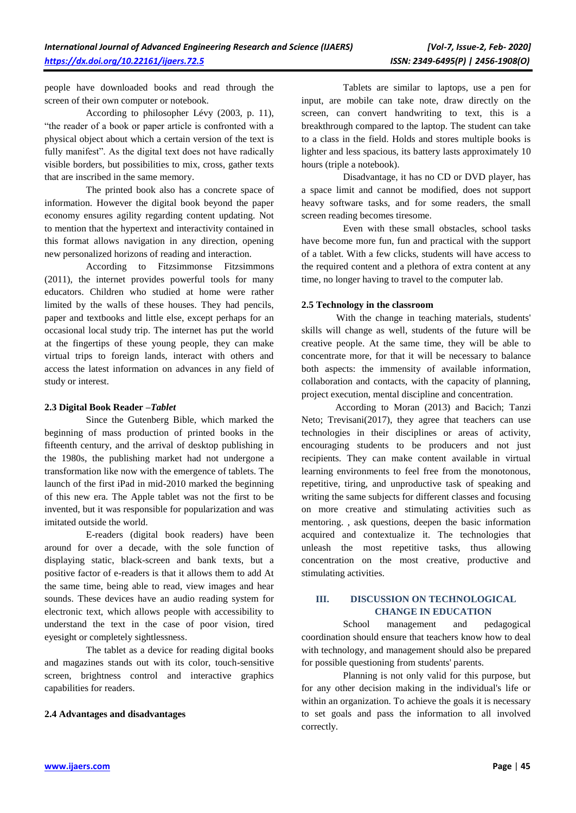people have downloaded books and read through the screen of their own computer or notebook.

According to philosopher Lévy (2003, p. 11), "the reader of a book or paper article is confronted with a physical object about which a certain version of the text is fully manifest". As the digital text does not have radically visible borders, but possibilities to mix, cross, gather texts that are inscribed in the same memory.

The printed book also has a concrete space of information. However the digital book beyond the paper economy ensures agility regarding content updating. Not to mention that the hypertext and interactivity contained in this format allows navigation in any direction, opening new personalized horizons of reading and interaction.

According to Fitzsimmonse Fitzsimmons (2011), the internet provides powerful tools for many educators. Children who studied at home were rather limited by the walls of these houses. They had pencils, paper and textbooks and little else, except perhaps for an occasional local study trip. The internet has put the world at the fingertips of these young people, they can make virtual trips to foreign lands, interact with others and access the latest information on advances in any field of study or interest.

#### **2.3 Digital Book Reader –***Tablet*

Since the Gutenberg Bible, which marked the beginning of mass production of printed books in the fifteenth century, and the arrival of desktop publishing in the 1980s, the publishing market had not undergone a transformation like now with the emergence of tablets. The launch of the first iPad in mid-2010 marked the beginning of this new era. The Apple tablet was not the first to be invented, but it was responsible for popularization and was imitated outside the world.

E-readers (digital book readers) have been around for over a decade, with the sole function of displaying static, black-screen and bank texts, but a positive factor of e-readers is that it allows them to add At the same time, being able to read, view images and hear sounds. These devices have an audio reading system for electronic text, which allows people with accessibility to understand the text in the case of poor vision, tired eyesight or completely sightlessness.

The tablet as a device for reading digital books and magazines stands out with its color, touch-sensitive screen, brightness control and interactive graphics capabilities for readers.

#### **2.4 Advantages and disadvantages**

Tablets are similar to laptops, use a pen for input, are mobile can take note, draw directly on the screen, can convert handwriting to text, this is a breakthrough compared to the laptop. The student can take to a class in the field. Holds and stores multiple books is lighter and less spacious, its battery lasts approximately 10 hours (triple a notebook).

Disadvantage, it has no CD or DVD player, has a space limit and cannot be modified, does not support heavy software tasks, and for some readers, the small screen reading becomes tiresome.

Even with these small obstacles, school tasks have become more fun, fun and practical with the support of a tablet. With a few clicks, students will have access to the required content and a plethora of extra content at any time, no longer having to travel to the computer lab.

## **2.5 Technology in the classroom**

With the change in teaching materials, students' skills will change as well, students of the future will be creative people. At the same time, they will be able to concentrate more, for that it will be necessary to balance both aspects: the immensity of available information, collaboration and contacts, with the capacity of planning, project execution, mental discipline and concentration.

According to Moran (2013) and Bacich; Tanzi Neto; Trevisani(2017), they agree that teachers can use technologies in their disciplines or areas of activity, encouraging students to be producers and not just recipients. They can make content available in virtual learning environments to feel free from the monotonous, repetitive, tiring, and unproductive task of speaking and writing the same subjects for different classes and focusing on more creative and stimulating activities such as mentoring. , ask questions, deepen the basic information acquired and contextualize it. The technologies that unleash the most repetitive tasks, thus allowing concentration on the most creative, productive and stimulating activities.

## **III. DISCUSSION ON TECHNOLOGICAL CHANGE IN EDUCATION**

School management and pedagogical coordination should ensure that teachers know how to deal with technology, and management should also be prepared for possible questioning from students' parents.

Planning is not only valid for this purpose, but for any other decision making in the individual's life or within an organization. To achieve the goals it is necessary to set goals and pass the information to all involved correctly.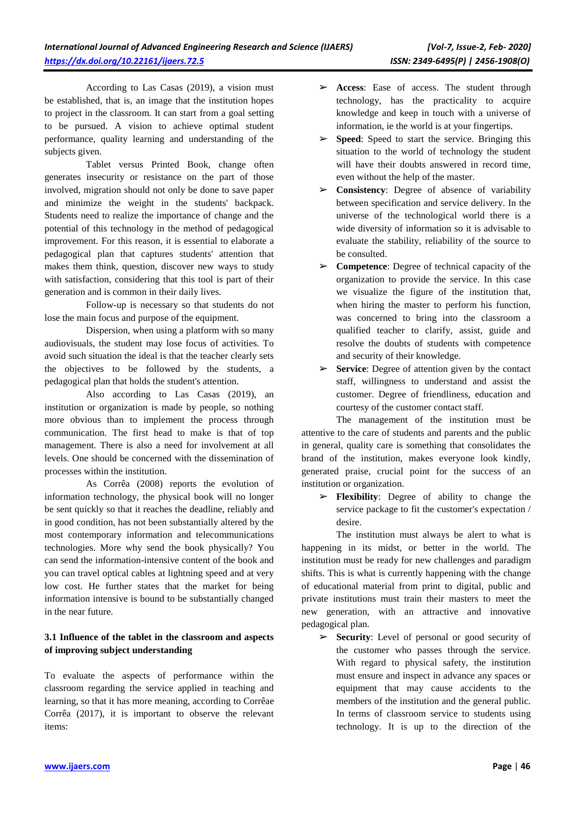According to Las Casas (2019), a vision must be established, that is, an image that the institution hopes to project in the classroom. It can start from a goal setting to be pursued. A vision to achieve optimal student performance, quality learning and understanding of the subjects given.

Tablet versus Printed Book, change often generates insecurity or resistance on the part of those involved, migration should not only be done to save paper and minimize the weight in the students' backpack. Students need to realize the importance of change and the potential of this technology in the method of pedagogical improvement. For this reason, it is essential to elaborate a pedagogical plan that captures students' attention that makes them think, question, discover new ways to study with satisfaction, considering that this tool is part of their generation and is common in their daily lives.

Follow-up is necessary so that students do not lose the main focus and purpose of the equipment.

Dispersion, when using a platform with so many audiovisuals, the student may lose focus of activities. To avoid such situation the ideal is that the teacher clearly sets the objectives to be followed by the students, a pedagogical plan that holds the student's attention.

Also according to Las Casas (2019), an institution or organization is made by people, so nothing more obvious than to implement the process through communication. The first head to make is that of top management. There is also a need for involvement at all levels. One should be concerned with the dissemination of processes within the institution.

As Corrêa (2008) reports the evolution of information technology, the physical book will no longer be sent quickly so that it reaches the deadline, reliably and in good condition, has not been substantially altered by the most contemporary information and telecommunications technologies. More why send the book physically? You can send the information-intensive content of the book and you can travel optical cables at lightning speed and at very low cost. He further states that the market for being information intensive is bound to be substantially changed in the near future.

## **3.1 Influence of the tablet in the classroom and aspects of improving subject understanding**

To evaluate the aspects of performance within the classroom regarding the service applied in teaching and learning, so that it has more meaning, according to Corrêae Corrêa (2017), it is important to observe the relevant items:

- ➢ **Access**: Ease of access. The student through technology, has the practicality to acquire knowledge and keep in touch with a universe of information, ie the world is at your fingertips.
- ➢ **Speed**: Speed to start the service. Bringing this situation to the world of technology the student will have their doubts answered in record time, even without the help of the master.
- ➢ **Consistency**: Degree of absence of variability between specification and service delivery. In the universe of the technological world there is a wide diversity of information so it is advisable to evaluate the stability, reliability of the source to be consulted.
- ➢ **Competence**: Degree of technical capacity of the organization to provide the service. In this case we visualize the figure of the institution that, when hiring the master to perform his function, was concerned to bring into the classroom a qualified teacher to clarify, assist, guide and resolve the doubts of students with competence and security of their knowledge.
- ➢ **Service**: Degree of attention given by the contact staff, willingness to understand and assist the customer. Degree of friendliness, education and courtesy of the customer contact staff.

The management of the institution must be attentive to the care of students and parents and the public in general, quality care is something that consolidates the brand of the institution, makes everyone look kindly, generated praise, crucial point for the success of an institution or organization.

➢ **Flexibility**: Degree of ability to change the service package to fit the customer's expectation / desire.

The institution must always be alert to what is happening in its midst, or better in the world. The institution must be ready for new challenges and paradigm shifts. This is what is currently happening with the change of educational material from print to digital, public and private institutions must train their masters to meet the new generation, with an attractive and innovative pedagogical plan.

➢ **Security**: Level of personal or good security of the customer who passes through the service. With regard to physical safety, the institution must ensure and inspect in advance any spaces or equipment that may cause accidents to the members of the institution and the general public. In terms of classroom service to students using technology. It is up to the direction of the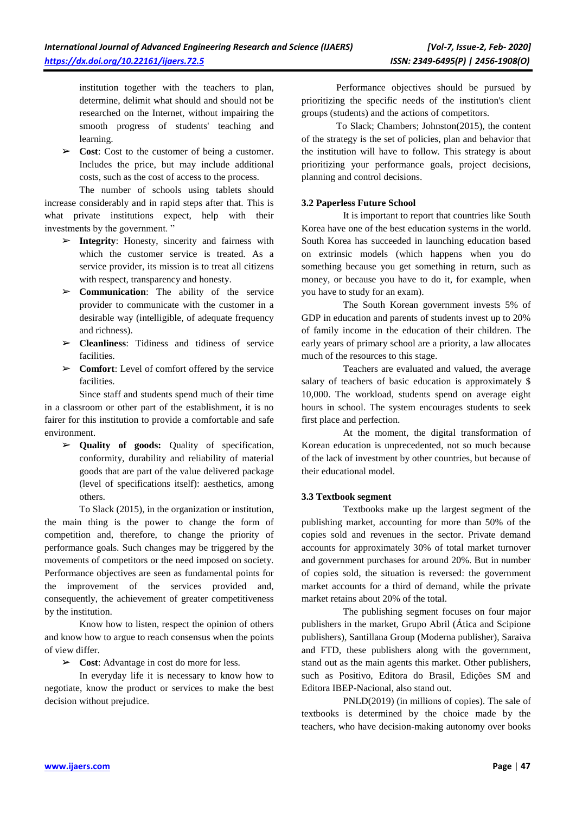institution together with the teachers to plan, determine, delimit what should and should not be researched on the Internet, without impairing the smooth progress of students' teaching and learning.

➢ **Cost**: Cost to the customer of being a customer. Includes the price, but may include additional costs, such as the cost of access to the process.

The number of schools using tablets should increase considerably and in rapid steps after that. This is what private institutions expect, help with their investments by the government. "

- ➢ **Integrity**: Honesty, sincerity and fairness with which the customer service is treated. As a service provider, its mission is to treat all citizens with respect, transparency and honesty.
- ➢ **Communication**: The ability of the service provider to communicate with the customer in a desirable way (intelligible, of adequate frequency and richness).
- ➢ **Cleanliness**: Tidiness and tidiness of service facilities.
- ➢ **Comfort**: Level of comfort offered by the service facilities.

Since staff and students spend much of their time in a classroom or other part of the establishment, it is no fairer for this institution to provide a comfortable and safe environment.

➢ **Quality of goods:** Quality of specification, conformity, durability and reliability of material goods that are part of the value delivered package (level of specifications itself): aesthetics, among others.

To Slack (2015), in the organization or institution, the main thing is the power to change the form of competition and, therefore, to change the priority of performance goals. Such changes may be triggered by the movements of competitors or the need imposed on society. Performance objectives are seen as fundamental points for the improvement of the services provided and, consequently, the achievement of greater competitiveness by the institution.

Know how to listen, respect the opinion of others and know how to argue to reach consensus when the points of view differ.

➢ **Cost**: Advantage in cost do more for less.

In everyday life it is necessary to know how to negotiate, know the product or services to make the best decision without prejudice.

Performance objectives should be pursued by prioritizing the specific needs of the institution's client groups (students) and the actions of competitors.

To Slack; Chambers; Johnston(2015), the content of the strategy is the set of policies, plan and behavior that the institution will have to follow. This strategy is about prioritizing your performance goals, project decisions, planning and control decisions.

### **3.2 Paperless Future School**

It is important to report that countries like South Korea have one of the best education systems in the world. South Korea has succeeded in launching education based on extrinsic models (which happens when you do something because you get something in return, such as money, or because you have to do it, for example, when you have to study for an exam).

The South Korean government invests 5% of GDP in education and parents of students invest up to 20% of family income in the education of their children. The early years of primary school are a priority, a law allocates much of the resources to this stage.

Teachers are evaluated and valued, the average salary of teachers of basic education is approximately \$ 10,000. The workload, students spend on average eight hours in school. The system encourages students to seek first place and perfection.

At the moment, the digital transformation of Korean education is unprecedented, not so much because of the lack of investment by other countries, but because of their educational model.

## **3.3 Textbook segment**

Textbooks make up the largest segment of the publishing market, accounting for more than 50% of the copies sold and revenues in the sector. Private demand accounts for approximately 30% of total market turnover and government purchases for around 20%. But in number of copies sold, the situation is reversed: the government market accounts for a third of demand, while the private market retains about 20% of the total.

The publishing segment focuses on four major publishers in the market, Grupo Abril (Ática and Scipione publishers), Santillana Group (Moderna publisher), Saraiva and FTD, these publishers along with the government, stand out as the main agents this market. Other publishers, such as Positivo, Editora do Brasil, Edições SM and Editora IBEP-Nacional, also stand out.

PNLD(2019) (in millions of copies). The sale of textbooks is determined by the choice made by the teachers, who have decision-making autonomy over books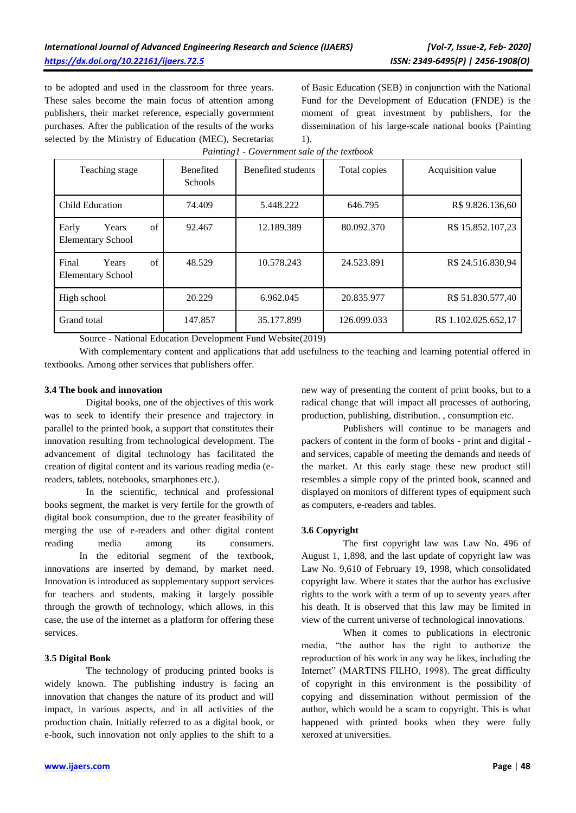to be adopted and used in the classroom for three years. These sales become the main focus of attention among publishers, their market reference, especially government purchases. After the publication of the results of the works selected by the Ministry of Education (MEC), Secretariat of Basic Education (SEB) in conjunction with the National Fund for the Development of Education (FNDE) is the moment of great investment by publishers, for the dissemination of his large-scale national books (Painting 1).

| Teaching stage                                   | <b>Benefited</b><br><b>Schools</b> | Benefited students | Total copies | Acquisition value    |
|--------------------------------------------------|------------------------------------|--------------------|--------------|----------------------|
| Child Education                                  | 74.409                             | 5.448.222          | 646.795      | R\$ 9.826.136,60     |
| of<br>Years<br>Early<br><b>Elementary School</b> | 92.467                             | 12.189.389         | 80.092.370   | R\$ 15.852.107,23    |
| of<br>Final<br>Years<br><b>Elementary School</b> | 48.529                             | 10.578.243         | 24.523.891   | R\$ 24.516.830,94    |
| High school                                      | 20.229                             | 6.962.045          | 20.835.977   | R\$ 51.830.577,40    |
| Grand total                                      | 147.857                            | 35.177.899         | 126.099.033  | R\$ 1.102.025.652,17 |

*Painting1 - Government sale of the textbook*

Source - National Education Development Fund Website(2019)

With complementary content and applications that add usefulness to the teaching and learning potential offered in textbooks. Among other services that publishers offer.

### **3.4 The book and innovation**

Digital books, one of the objectives of this work was to seek to identify their presence and trajectory in parallel to the printed book, a support that constitutes their innovation resulting from technological development. The advancement of digital technology has facilitated the creation of digital content and its various reading media (ereaders, tablets, notebooks, smarphones etc.).

In the scientific, technical and professional books segment, the market is very fertile for the growth of digital book consumption, due to the greater feasibility of merging the use of e-readers and other digital content reading media among its consumers. In the editorial segment of the textbook, innovations are inserted by demand, by market need. Innovation is introduced as supplementary support services for teachers and students, making it largely possible through the growth of technology, which allows, in this case, the use of the internet as a platform for offering these services.

#### **3.5 Digital Book**

The technology of producing printed books is widely known. The publishing industry is facing an innovation that changes the nature of its product and will impact, in various aspects, and in all activities of the production chain. Initially referred to as a digital book, or e-book, such innovation not only applies to the shift to a new way of presenting the content of print books, but to a radical change that will impact all processes of authoring, production, publishing, distribution. , consumption etc.

Publishers will continue to be managers and packers of content in the form of books - print and digital and services, capable of meeting the demands and needs of the market. At this early stage these new product still resembles a simple copy of the printed book, scanned and displayed on monitors of different types of equipment such as computers, e-readers and tables.

## **3.6 Copyright**

The first copyright law was Law No. 496 of August 1, 1,898, and the last update of copyright law was Law No. 9,610 of February 19, 1998, which consolidated copyright law. Where it states that the author has exclusive rights to the work with a term of up to seventy years after his death. It is observed that this law may be limited in view of the current universe of technological innovations.

When it comes to publications in electronic media, "the author has the right to authorize the reproduction of his work in any way he likes, including the Internet" (MARTINS FILHO, 1998). The great difficulty of copyright in this environment is the possibility of copying and dissemination without permission of the author, which would be a scam to copyright. This is what happened with printed books when they were fully xeroxed at universities.